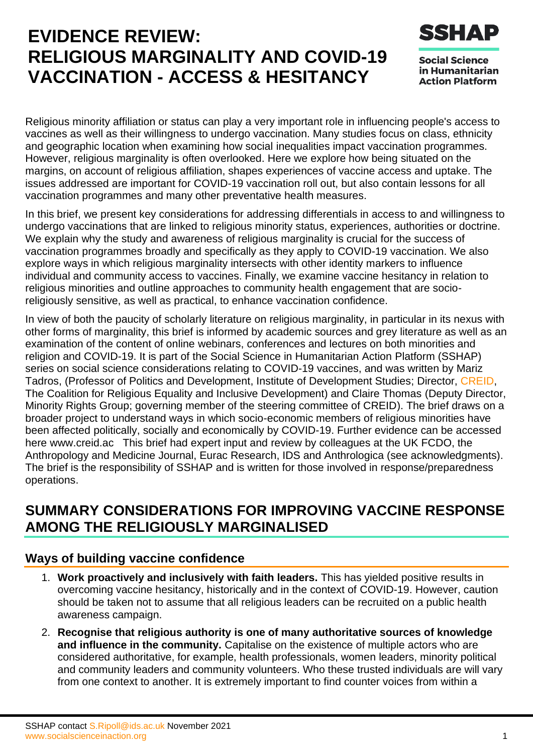# **EVIDENCE REVIEW: RELIGIOUS MARGINALITY AND COVID-19 VACCINATION - ACCESS & HESITANCY**



**Social Science** in Humanitarian **Action Platform** 

Religious minority affiliation or status can play a very important role in influencing people's access to vaccines as well as their willingness to undergo vaccination. Many studies focus on class, ethnicity and geographic location when examining how social inequalities impact vaccination programmes. However, religious marginality is often overlooked. Here we explore how being situated on the margins, on account of religious affiliation, shapes experiences of vaccine access and uptake. The issues addressed are important for COVID-19 vaccination roll out, but also contain lessons for all vaccination programmes and many other preventative health measures.

In this brief, we present key considerations for addressing differentials in access to and willingness to undergo vaccinations that are linked to religious minority status, experiences, authorities or doctrine. We explain why the study and awareness of religious marginality is crucial for the success of vaccination programmes broadly and specifically as they apply to COVID-19 vaccination. We also explore ways in which religious marginality intersects with other identity markers to influence individual and community access to vaccines. Finally, we examine vaccine hesitancy in relation to religious minorities and outline approaches to community health engagement that are socioreligiously sensitive, as well as practical, to enhance vaccination confidence.

In view of both the paucity of scholarly literature on religious marginality, in particular in its nexus with other forms of marginality, this brief is informed by academic sources and grey literature as well as an examination of the content of online webinars, conferences and lectures on both minorities and religion and COVID-19. It is part of the Social Science in Humanitarian Action Platform (SSHAP) series on social science considerations relating to COVID-19 vaccines, and was written by Mariz Tadros, (Professor of Politics and Development, Institute of Development Studies; Director, [CREID,](https://creid.ac/) The Coalition for Religious Equality and Inclusive Development) and Claire Thomas (Deputy Director, Minority Rights Group; governing member of the steering committee of CREID). The brief draws on a broader project to understand ways in which socio-economic members of religious minorities have been affected politically, socially and economically by COVID-19. Further evidence can be accessed here [www.creid.ac](http://www.creid.ac/) This brief had expert input and review by colleagues at the UK FCDO, the Anthropology and Medicine Journal, Eurac Research, IDS and Anthrologica (see acknowledgments). The brief is the responsibility of SSHAP and is written for those involved in response/preparedness operations.

### **SUMMARY CONSIDERATIONS FOR IMPROVING VACCINE RESPONSE AMONG THE RELIGIOUSLY MARGINALISED**

#### **Ways of building vaccine confidence**

- 1. **Work proactively and inclusively with faith leaders.** This has yielded positive results in overcoming vaccine hesitancy, historically and in the context of COVID-19. However, caution should be taken not to assume that all religious leaders can be recruited on a public health awareness campaign.
- 2. **Recognise that religious authority is one of many authoritative sources of knowledge and influence in the community.** Capitalise on the existence of multiple actors who are considered authoritative, for example, health professionals, women leaders, minority political and community leaders and community volunteers. Who these trusted individuals are will vary from one context to another. It is extremely important to find counter voices from within a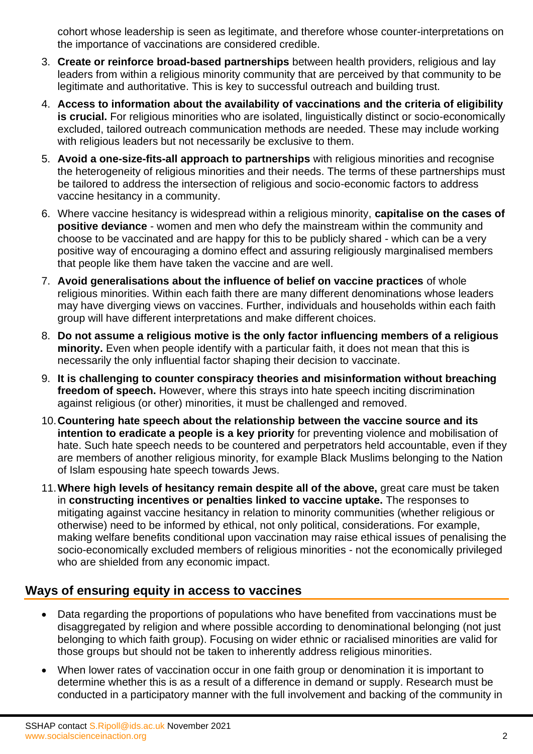cohort whose leadership is seen as legitimate, and therefore whose counter-interpretations on the importance of vaccinations are considered credible.

- 3. **Create or reinforce broad-based partnerships** between health providers, religious and lay leaders from within a religious minority community that are perceived by that community to be legitimate and authoritative. This is key to successful outreach and building trust.
- 4. **Access to information about the availability of vaccinations and the criteria of eligibility is crucial.** For religious minorities who are isolated, linguistically distinct or socio-economically excluded, tailored outreach communication methods are needed. These may include working with religious leaders but not necessarily be exclusive to them.
- 5. **Avoid a one-size-fits-all approach to partnerships** with religious minorities and recognise the heterogeneity of religious minorities and their needs. The terms of these partnerships must be tailored to address the intersection of religious and socio-economic factors to address vaccine hesitancy in a community.
- 6. Where vaccine hesitancy is widespread within a religious minority, **capitalise on the cases of positive deviance** - women and men who defy the mainstream within the community and choose to be vaccinated and are happy for this to be publicly shared - which can be a very positive way of encouraging a domino effect and assuring religiously marginalised members that people like them have taken the vaccine and are well.
- 7. **Avoid generalisations about the influence of belief on vaccine practices** of whole religious minorities. Within each faith there are many different denominations whose leaders may have diverging views on vaccines. Further, individuals and households within each faith group will have different interpretations and make different choices.
- 8. **Do not assume a religious motive is the only factor influencing members of a religious minority.** Even when people identify with a particular faith, it does not mean that this is necessarily the only influential factor shaping their decision to vaccinate.
- 9. **It is challenging to counter conspiracy theories and misinformation without breaching freedom of speech.** However, where this strays into hate speech inciting discrimination against religious (or other) minorities, it must be challenged and removed.
- 10.**Countering hate speech about the relationship between the vaccine source and its intention to eradicate a people is a key priority** for preventing violence and mobilisation of hate. Such hate speech needs to be countered and perpetrators held accountable, even if they are members of another religious minority, for example Black Muslims belonging to the Nation of Islam espousing hate speech towards Jews.
- 11.**Where high levels of hesitancy remain despite all of the above,** great care must be taken in **constructing incentives or penalties linked to vaccine uptake.** The responses to mitigating against vaccine hesitancy in relation to minority communities (whether religious or otherwise) need to be informed by ethical, not only political, considerations. For example, making welfare benefits conditional upon vaccination may raise ethical issues of penalising the socio-economically excluded members of religious minorities - not the economically privileged who are shielded from any economic impact.

#### **Ways of ensuring equity in access to vaccines**

- Data regarding the proportions of populations who have benefited from vaccinations must be disaggregated by religion and where possible according to denominational belonging (not just belonging to which faith group). Focusing on wider ethnic or racialised minorities are valid for those groups but should not be taken to inherently address religious minorities.
- When lower rates of vaccination occur in one faith group or denomination it is important to determine whether this is as a result of a difference in demand or supply. Research must be conducted in a participatory manner with the full involvement and backing of the community in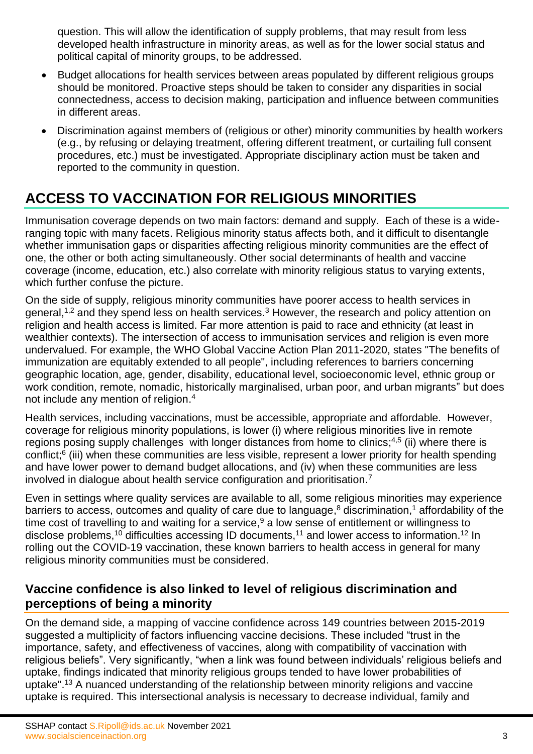question. This will allow the identification of supply problems, that may result from less developed health infrastructure in minority areas, as well as for the lower social status and political capital of minority groups, to be addressed.

- Budget allocations for health services between areas populated by different religious groups should be monitored. Proactive steps should be taken to consider any disparities in social connectedness, access to decision making, participation and influence between communities in different areas.
- Discrimination against members of (religious or other) minority communities by health workers (e.g., by refusing or delaying treatment, offering different treatment, or curtailing full consent procedures, etc.) must be investigated. Appropriate disciplinary action must be taken and reported to the community in question.

## **ACCESS TO VACCINATION FOR RELIGIOUS MINORITIES**

Immunisation coverage depends on two main factors: demand and supply. Each of these is a wideranging topic with many facets. Religious minority status affects both, and it difficult to disentangle whether immunisation gaps or disparities affecting religious minority communities are the effect of one, the other or both acting simultaneously. Other social determinants of health and vaccine coverage (income, education, etc.) also correlate with minority religious status to varying extents, which further confuse the picture.

On the side of supply, religious minority communities have poorer access to health services in general,<sup>1,2</sup> and they spend less on health services.<sup>3</sup> However, the research and policy attention on religion and health access is limited. Far more attention is paid to race and ethnicity (at least in wealthier contexts). The intersection of access to immunisation services and religion is even more undervalued. For example, the WHO Global Vaccine Action Plan 2011-2020, states "The benefits of immunization are equitably extended to all people", including references to barriers concerning geographic location, age, gender, disability, educational level, socioeconomic level, ethnic group or work condition, remote, nomadic, historically marginalised, urban poor, and urban migrants" but does not include any mention of religion. 4

Health services, including vaccinations, must be accessible, appropriate and affordable. However, coverage for religious minority populations, is lower (i) where religious minorities live in remote regions posing supply challenges with longer distances from home to clinics;<sup>4,5</sup> (ii) where there is conflict;<sup>6</sup> (iii) when these communities are less visible, represent a lower priority for health spending and have lower power to demand budget allocations, and (iv) when these communities are less involved in dialogue about health service configuration and prioritisation. 7

Even in settings where quality services are available to all, some religious minorities may experience barriers to access, outcomes and quality of care due to language,<sup>8</sup> discrimination,<sup>1</sup> affordability of the time cost of travelling to and waiting for a service,<sup>9</sup> a low sense of entitlement or willingness to disclose problems,<sup>10</sup> difficulties accessing ID documents,<sup>11</sup> and lower access to information.<sup>12</sup> In rolling out the COVID-19 vaccination, these known barriers to health access in general for many religious minority communities must be considered.

#### **Vaccine confidence is also linked to level of religious discrimination and perceptions of being a minority**

On the demand side, a mapping of vaccine confidence across 149 countries between 2015-2019 suggested a multiplicity of factors influencing vaccine decisions. These included "trust in the importance, safety, and effectiveness of vaccines, along with compatibility of vaccination with religious beliefs". Very significantly, "when a link was found between individuals' religious beliefs and uptake, findings indicated that minority religious groups tended to have lower probabilities of uptake".<sup>13</sup> A nuanced understanding of the relationship between minority religions and vaccine uptake is required. This intersectional analysis is necessary to decrease individual, family and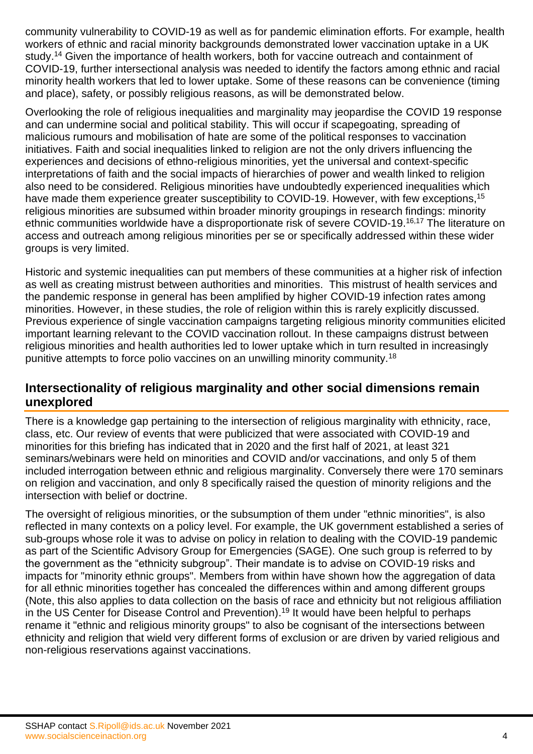community vulnerability to COVID-19 as well as for pandemic elimination efforts. For example, health workers of ethnic and racial minority backgrounds demonstrated lower vaccination uptake in a UK study.<sup>14</sup> Given the importance of health workers, both for vaccine outreach and containment of COVID-19, further intersectional analysis was needed to identify the factors among ethnic and racial minority health workers that led to lower uptake. Some of these reasons can be convenience (timing and place), safety, or possibly religious reasons, as will be demonstrated below.

Overlooking the role of religious inequalities and marginality may jeopardise the COVID 19 response and can undermine social and political stability. This will occur if scapegoating, spreading of malicious rumours and mobilisation of hate are some of the political responses to vaccination initiatives. Faith and social inequalities linked to religion are not the only drivers influencing the experiences and decisions of ethno-religious minorities, yet the universal and context-specific interpretations of faith and the social impacts of hierarchies of power and wealth linked to religion also need to be considered. Religious minorities have undoubtedly experienced inequalities which have made them experience greater susceptibility to COVID-19. However, with few exceptions,<sup>15</sup> religious minorities are subsumed within broader minority groupings in research findings: minority ethnic communities worldwide have a disproportionate risk of severe COVID-19.<sup>16,17</sup> The literature on access and outreach among religious minorities per se or specifically addressed within these wider groups is very limited.

Historic and systemic inequalities can put members of these communities at a higher risk of infection as well as creating mistrust between authorities and minorities. This mistrust of health services and the pandemic response in general has been amplified by higher COVID-19 infection rates among minorities. However, in these studies, the role of religion within this is rarely explicitly discussed. Previous experience of single vaccination campaigns targeting religious minority communities elicited important learning relevant to the COVID vaccination rollout. In these campaigns distrust between religious minorities and health authorities led to lower uptake which in turn resulted in increasingly punitive attempts to force polio vaccines on an unwilling minority community.<sup>18</sup>

#### **Intersectionality of religious marginality and other social dimensions remain unexplored**

There is a knowledge gap pertaining to the intersection of religious marginality with ethnicity, race, class, etc. Our review of events that were publicized that were associated with COVID-19 and minorities for this briefing has indicated that in 2020 and the first half of 2021, at least 321 seminars/webinars were held on minorities and COVID and/or vaccinations, and only 5 of them included interrogation between ethnic and religious marginality. Conversely there were 170 seminars on religion and vaccination, and only 8 specifically raised the question of minority religions and the intersection with belief or doctrine.

The oversight of religious minorities, or the subsumption of them under "ethnic minorities", is also reflected in many contexts on a policy level. For example, the UK government established a series of sub-groups whose role it was to advise on policy in relation to dealing with the COVID-19 pandemic as part of the Scientific Advisory Group for Emergencies (SAGE). One such group is referred to by the government as the "ethnicity subgroup". Their mandate is to advise on COVID-19 risks and impacts for "minority ethnic groups". Members from within have shown how the aggregation of data for all ethnic minorities together has concealed the differences within and among different groups (Note, this also applies to data collection on the basis of race and ethnicity but not religious affiliation in the US Center for Disease Control and Prevention). <sup>19</sup> It would have been helpful to perhaps rename it "ethnic and religious minority groups" to also be cognisant of the intersections between ethnicity and religion that wield very different forms of exclusion or are driven by varied religious and non-religious reservations against vaccinations.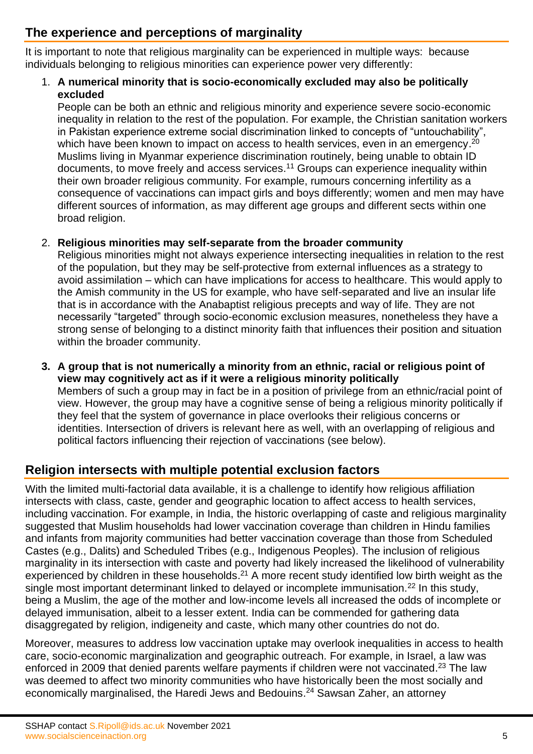### **The experience and perceptions of marginality**

It is important to note that religious marginality can be experienced in multiple ways: because individuals belonging to religious minorities can experience power very differently:

#### 1. **A numerical minority that is socio-economically excluded may also be politically excluded**

People can be both an ethnic and religious minority and experience severe socio-economic inequality in relation to the rest of the population. For example, the Christian sanitation workers in Pakistan experience extreme social discrimination linked to concepts of "untouchability", which have been known to impact on access to health services, even in an emergency.<sup>20</sup> Muslims living in Myanmar experience discrimination routinely, being unable to obtain ID documents, to move freely and access services. <sup>11</sup> Groups can experience inequality within their own broader religious community. For example, rumours concerning infertility as a consequence of vaccinations can impact girls and boys differently; women and men may have different sources of information, as may different age groups and different sects within one broad religion.

#### 2. **Religious minorities may self-separate from the broader community**

Religious minorities might not always experience intersecting inequalities in relation to the rest of the population, but they may be self-protective from external influences as a strategy to avoid assimilation – which can have implications for access to healthcare. This would apply to the Amish community in the US for example, who have self-separated and live an insular life that is in accordance with the Anabaptist religious precepts and way of life. They are not necessarily "targeted" through socio-economic exclusion measures, nonetheless they have a strong sense of belonging to a distinct minority faith that influences their position and situation within the broader community.

**3. A group that is not numerically a minority from an ethnic, racial or religious point of view may cognitively act as if it were a religious minority politically** Members of such a group may in fact be in a position of privilege from an ethnic/racial point of view. However, the group may have a cognitive sense of being a religious minority politically if they feel that the system of governance in place overlooks their religious concerns or identities. Intersection of drivers is relevant here as well, with an overlapping of religious and political factors influencing their rejection of vaccinations (see below).

#### **Religion intersects with multiple potential exclusion factors**

With the limited multi-factorial data available, it is a challenge to identify how religious affiliation intersects with class, caste, gender and geographic location to affect access to health services, including vaccination. For example, in India, the historic overlapping of caste and religious marginality suggested that Muslim households had lower vaccination coverage than children in Hindu families and infants from majority communities had better vaccination coverage than those from Scheduled Castes (e.g., Dalits) and Scheduled Tribes (e.g., Indigenous Peoples). The inclusion of religious marginality in its intersection with caste and poverty had likely increased the likelihood of vulnerability experienced by children in these households. $^{21}$  A more recent study identified low birth weight as the single most important determinant linked to delayed or incomplete immunisation.<sup>22</sup> In this study, being a Muslim, the age of the mother and low-income levels all increased the odds of incomplete or delayed immunisation, albeit to a lesser extent. India can be commended for gathering data disaggregated by religion, indigeneity and caste, which many other countries do not do.

Moreover, measures to address low vaccination uptake may overlook inequalities in access to health care, socio-economic marginalization and geographic outreach. For example, in Israel, a law was enforced in 2009 that denied parents welfare payments if children were not vaccinated.<sup>23</sup> The law was deemed to affect two minority communities who have historically been the most socially and economically marginalised, the Haredi Jews and Bedouins.<sup>24</sup> Sawsan Zaher, an attorney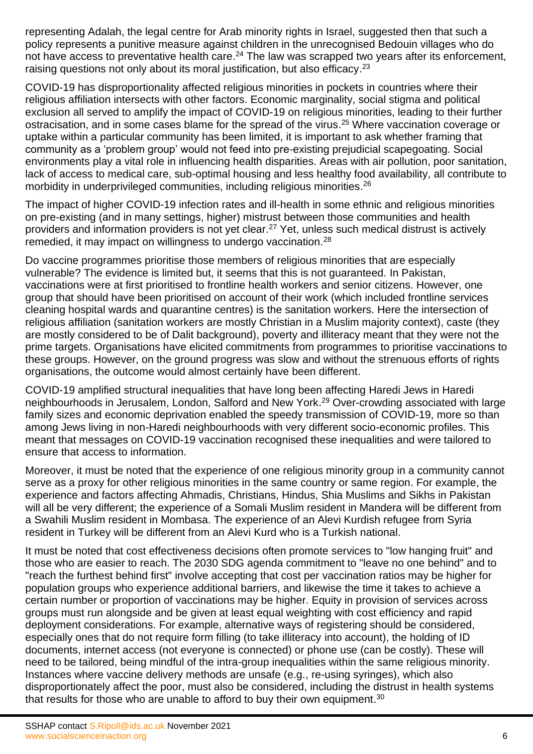representing Adalah, the legal centre for Arab minority rights in Israel, suggested then that such a policy represents a punitive measure against children in the unrecognised Bedouin villages who do not have access to preventative health care.<sup>24</sup> The law was scrapped two years after its enforcement, raising questions not only about its moral justification, but also efficacy.<sup>23</sup>

COVID-19 has disproportionality affected religious minorities in pockets in countries where their religious affiliation intersects with other factors. Economic marginality, social stigma and political exclusion all served to amplify the impact of COVID-19 on religious minorities, leading to their further ostracisation, and in some cases blame for the spread of the virus.<sup>25</sup> Where vaccination coverage or uptake within a particular community has been limited, it is important to ask whether framing that community as a 'problem group' would not feed into pre-existing prejudicial scapegoating. Social environments play a vital role in influencing health disparities. Areas with air pollution, poor sanitation, lack of access to medical care, sub-optimal housing and less healthy food availability, all contribute to morbidity in underprivileged communities, including religious minorities.<sup>26</sup>

The impact of higher COVID-19 infection rates and ill-health in some ethnic and religious minorities on pre-existing (and in many settings, higher) mistrust between those communities and health providers and information providers is not yet clear.<sup>27</sup> Yet, unless such medical distrust is actively remedied, it may impact on willingness to undergo vaccination.<sup>28</sup>

Do vaccine programmes prioritise those members of religious minorities that are especially vulnerable? The evidence is limited but, it seems that this is not guaranteed. In Pakistan, vaccinations were at first prioritised to frontline health workers and senior citizens. However, one group that should have been prioritised on account of their work (which included frontline services cleaning hospital wards and quarantine centres) is the sanitation workers. Here the intersection of religious affiliation (sanitation workers are mostly Christian in a Muslim majority context), caste (they are mostly considered to be of Dalit background), poverty and illiteracy meant that they were not the prime targets. Organisations have elicited commitments from programmes to prioritise vaccinations to these groups. However, on the ground progress was slow and without the strenuous efforts of rights organisations, the outcome would almost certainly have been different.

COVID-19 amplified structural inequalities that have long been affecting Haredi Jews in Haredi neighbourhoods in Jerusalem, London, Salford and New York. <sup>29</sup> Over-crowding associated with large family sizes and economic deprivation enabled the speedy transmission of COVID-19, more so than among Jews living in non-Haredi neighbourhoods with very different socio-economic profiles. This meant that messages on COVID-19 vaccination recognised these inequalities and were tailored to ensure that access to information.

Moreover, it must be noted that the experience of one religious minority group in a community cannot serve as a proxy for other religious minorities in the same country or same region. For example, the experience and factors affecting Ahmadis, Christians, Hindus, Shia Muslims and Sikhs in Pakistan will all be very different; the experience of a Somali Muslim resident in Mandera will be different from a Swahili Muslim resident in Mombasa. The experience of an Alevi Kurdish refugee from Syria resident in Turkey will be different from an Alevi Kurd who is a Turkish national.

It must be noted that cost effectiveness decisions often promote services to "low hanging fruit" and those who are easier to reach. The 2030 SDG agenda commitment to "leave no one behind" and to "reach the furthest behind first" involve accepting that cost per vaccination ratios may be higher for population groups who experience additional barriers, and likewise the time it takes to achieve a certain number or proportion of vaccinations may be higher. Equity in provision of services across groups must run alongside and be given at least equal weighting with cost efficiency and rapid deployment considerations. For example, alternative ways of registering should be considered, especially ones that do not require form filling (to take illiteracy into account), the holding of ID documents, internet access (not everyone is connected) or phone use (can be costly). These will need to be tailored, being mindful of the intra-group inequalities within the same religious minority. Instances where vaccine delivery methods are unsafe (e.g., re-using syringes), which also disproportionately affect the poor, must also be considered, including the distrust in health systems that results for those who are unable to afford to buy their own equipment.<sup>30</sup>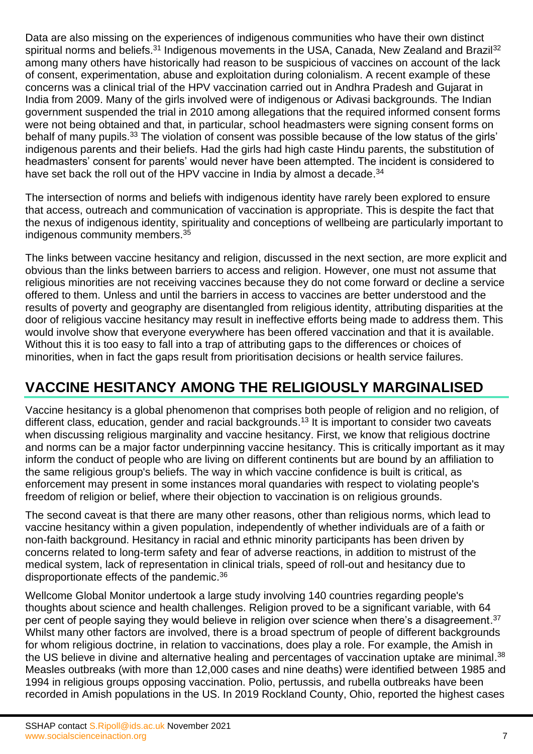Data are also missing on the experiences of indigenous communities who have their own distinct spiritual norms and beliefs.<sup>31</sup> Indigenous movements in the USA, Canada, New Zealand and Brazil<sup>32</sup> among many others have historically had reason to be suspicious of vaccines on account of the lack of consent, experimentation, abuse and exploitation during colonialism. A recent example of these concerns was a clinical trial of the HPV vaccination carried out in Andhra Pradesh and Gujarat in India from 2009. Many of the girls involved were of indigenous or Adivasi backgrounds. The Indian government suspended the trial in 2010 among allegations that the required informed consent forms were not being obtained and that, in particular, school headmasters were signing consent forms on behalf of many pupils.<sup>33</sup> The violation of consent was possible because of the low status of the girls' indigenous parents and their beliefs. Had the girls had high caste Hindu parents, the substitution of headmasters' consent for parents' would never have been attempted. The incident is considered to have set back the roll out of the HPV vaccine in India by almost a decade.<sup>34</sup>

The intersection of norms and beliefs with indigenous identity have rarely been explored to ensure that access, outreach and communication of vaccination is appropriate. This is despite the fact that the nexus of indigenous identity, spirituality and conceptions of wellbeing are particularly important to indigenous community members.<sup>35</sup>

The links between vaccine hesitancy and religion, discussed in the next section, are more explicit and obvious than the links between barriers to access and religion. However, one must not assume that religious minorities are not receiving vaccines because they do not come forward or decline a service offered to them. Unless and until the barriers in access to vaccines are better understood and the results of poverty and geography are disentangled from religious identity, attributing disparities at the door of religious vaccine hesitancy may result in ineffective efforts being made to address them. This would involve show that everyone everywhere has been offered vaccination and that it is available. Without this it is too easy to fall into a trap of attributing gaps to the differences or choices of minorities, when in fact the gaps result from prioritisation decisions or health service failures.

### **VACCINE HESITANCY AMONG THE RELIGIOUSLY MARGINALISED**

Vaccine hesitancy is a global phenomenon that comprises both people of religion and no religion, of different class, education, gender and racial backgrounds. <sup>13</sup> It is important to consider two caveats when discussing religious marginality and vaccine hesitancy. First, we know that religious doctrine and norms can be a major factor underpinning vaccine hesitancy. This is critically important as it may inform the conduct of people who are living on different continents but are bound by an affiliation to the same religious group's beliefs. The way in which vaccine confidence is built is critical, as enforcement may present in some instances moral quandaries with respect to violating people's freedom of religion or belief, where their objection to vaccination is on religious grounds.

The second caveat is that there are many other reasons, other than religious norms, which lead to vaccine hesitancy within a given population, independently of whether individuals are of a faith or non-faith background. Hesitancy in racial and ethnic minority participants has been driven by concerns related to long-term safety and fear of adverse reactions, in addition to mistrust of the medical system, lack of representation in clinical trials, speed of roll-out and hesitancy due to disproportionate effects of the pandemic.<sup>36</sup>

Wellcome Global Monitor undertook a large study involving 140 countries regarding people's thoughts about science and health challenges. Religion proved to be a significant variable, with 64 per cent of people saying they would believe in religion over science when there's a disagreement.<sup>37</sup> Whilst many other factors are involved, there is a broad spectrum of people of different backgrounds for whom religious doctrine, in relation to vaccinations, does play a role. For example, the Amish in the US believe in divine and alternative healing and percentages of vaccination uptake are minimal.<sup>38</sup> Measles outbreaks (with more than 12,000 cases and nine deaths) were identified between 1985 and 1994 in religious groups opposing vaccination. Polio, pertussis, and rubella outbreaks have been recorded in Amish populations in the US. In 2019 Rockland County, Ohio, reported the highest cases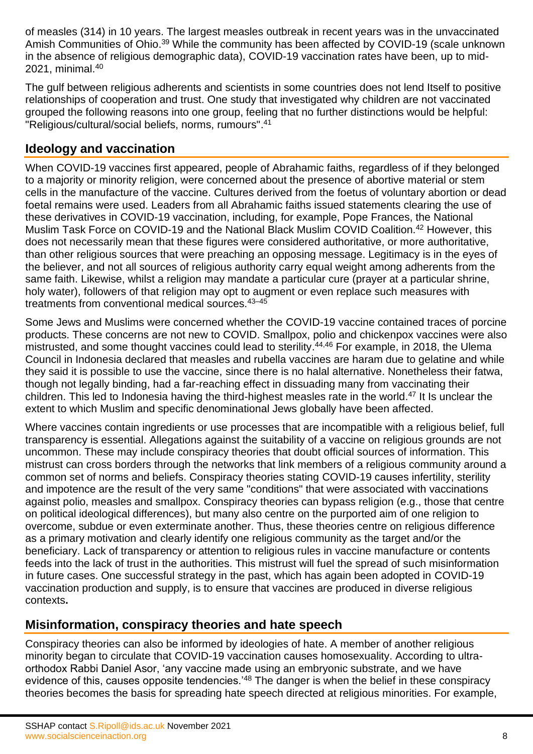of measles (314) in 10 years. The largest measles outbreak in recent years was in the unvaccinated Amish Communities of Ohio.<sup>39</sup> While the community has been affected by COVID-19 (scale unknown in the absence of religious demographic data), COVID-19 vaccination rates have been, up to mid-2021, minimal. 40

The gulf between religious adherents and scientists in some countries does not lend Itself to positive relationships of cooperation and trust. One study that investigated why children are not vaccinated grouped the following reasons into one group, feeling that no further distinctions would be helpful: "Religious/cultural/social beliefs, norms, rumours". 41

#### **Ideology and vaccination**

When COVID-19 vaccines first appeared, people of Abrahamic faiths, regardless of if they belonged to a majority or minority religion, were concerned about the presence of abortive material or stem cells in the manufacture of the vaccine. Cultures derived from the foetus of voluntary abortion or dead foetal remains were used. Leaders from all Abrahamic faiths issued statements clearing the use of these derivatives in COVID-19 vaccination, including, for example, Pope Frances, the National Muslim Task Force on COVID-19 and the National Black Muslim COVID Coalition.<sup>42</sup> However, this does not necessarily mean that these figures were considered authoritative, or more authoritative, than other religious sources that were preaching an opposing message. Legitimacy is in the eyes of the believer, and not all sources of religious authority carry equal weight among adherents from the same faith. Likewise, whilst a religion may mandate a particular cure (prayer at a particular shrine, holy water), followers of that religion may opt to augment or even replace such measures with treatments from conventional medical sources.<sup>43-45</sup>

Some Jews and Muslims were concerned whether the COVID-19 vaccine contained traces of porcine products. These concerns are not new to COVID. Smallpox, polio and chickenpox vaccines were also mistrusted, and some thought vaccines could lead to sterility.<sup>44,46</sup> For example, in 2018, the Ulema Council in Indonesia declared that measles and rubella vaccines are haram due to gelatine and while they said it is possible to use the vaccine, since there is no halal alternative. Nonetheless their fatwa, though not legally binding, had a far-reaching effect in dissuading many from vaccinating their children. This led to Indonesia having the third-highest measles rate in the world. <sup>47</sup> It Is unclear the extent to which Muslim and specific denominational Jews globally have been affected.

Where vaccines contain ingredients or use processes that are incompatible with a religious belief, full transparency is essential. Allegations against the suitability of a vaccine on religious grounds are not uncommon. These may include conspiracy theories that doubt official sources of information. This mistrust can cross borders through the networks that link members of a religious community around a common set of norms and beliefs. Conspiracy theories stating COVID-19 causes infertility, sterility and impotence are the result of the very same "conditions" that were associated with vaccinations against polio, measles and smallpox. Conspiracy theories can bypass religion (e.g., those that centre on political ideological differences), but many also centre on the purported aim of one religion to overcome, subdue or even exterminate another. Thus, these theories centre on religious difference as a primary motivation and clearly identify one religious community as the target and/or the beneficiary. Lack of transparency or attention to religious rules in vaccine manufacture or contents feeds into the lack of trust in the authorities. This mistrust will fuel the spread of such misinformation in future cases. One successful strategy in the past, which has again been adopted in COVID-19 vaccination production and supply, is to ensure that vaccines are produced in diverse religious contexts**.**

#### **Misinformation, conspiracy theories and hate speech**

Conspiracy theories can also be informed by ideologies of hate. A member of another religious minority began to circulate that COVID-19 vaccination causes homosexuality. According to ultraorthodox Rabbi Daniel Asor, 'any vaccine made using an embryonic substrate, and we have evidence of this, causes opposite tendencies.<sup>'48</sup> The danger is when the belief in these conspiracy theories becomes the basis for spreading hate speech directed at religious minorities. For example,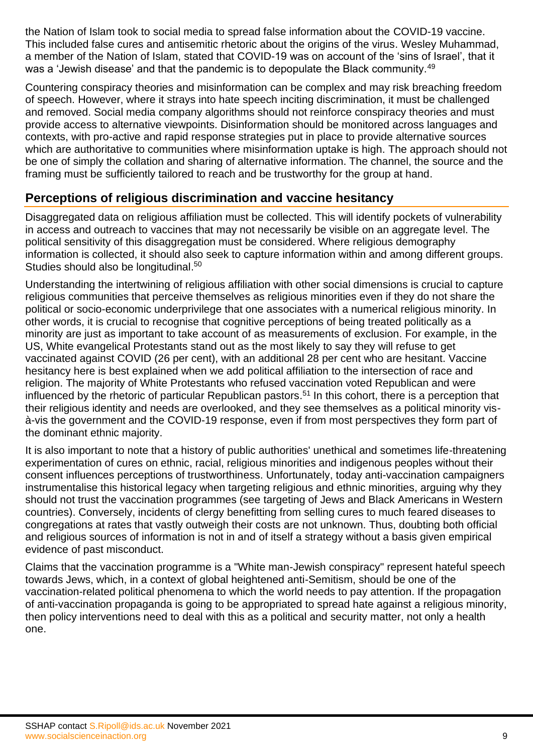the Nation of Islam took to social media to spread false information about the COVID-19 vaccine. This included false cures and antisemitic rhetoric about the origins of the virus. Wesley Muhammad, a member of the Nation of Islam, stated that COVID-19 was on account of the 'sins of Israel', that it was a 'Jewish disease' and that the pandemic is to depopulate the Black community.<sup>49</sup>

Countering conspiracy theories and misinformation can be complex and may risk breaching freedom of speech. However, where it strays into hate speech inciting discrimination, it must be challenged and removed. Social media company algorithms should not reinforce conspiracy theories and must provide access to alternative viewpoints. Disinformation should be monitored across languages and contexts, with pro-active and rapid response strategies put in place to provide alternative sources which are authoritative to communities where misinformation uptake is high. The approach should not be one of simply the collation and sharing of alternative information. The channel, the source and the framing must be sufficiently tailored to reach and be trustworthy for the group at hand.

### **Perceptions of religious discrimination and vaccine hesitancy**

Disaggregated data on religious affiliation must be collected. This will identify pockets of vulnerability in access and outreach to vaccines that may not necessarily be visible on an aggregate level. The political sensitivity of this disaggregation must be considered. Where religious demography information is collected, it should also seek to capture information within and among different groups. Studies should also be longitudinal.<sup>50</sup>

Understanding the intertwining of religious affiliation with other social dimensions is crucial to capture religious communities that perceive themselves as religious minorities even if they do not share the political or socio-economic underprivilege that one associates with a numerical religious minority. In other words, it is crucial to recognise that cognitive perceptions of being treated politically as a minority are just as important to take account of as measurements of exclusion. For example, in the US, White evangelical Protestants stand out as the most likely to say they will refuse to get vaccinated against COVID (26 per cent), with an additional 28 per cent who are hesitant. Vaccine hesitancy here is best explained when we add political affiliation to the intersection of race and religion. The majority of White Protestants who refused vaccination voted Republican and were influenced by the rhetoric of particular Republican pastors. <sup>51</sup> In this cohort, there is a perception that their religious identity and needs are overlooked, and they see themselves as a political minority visà-vis the government and the COVID-19 response, even if from most perspectives they form part of the dominant ethnic majority.

It is also important to note that a history of public authorities' unethical and sometimes life-threatening experimentation of cures on ethnic, racial, religious minorities and indigenous peoples without their consent influences perceptions of trustworthiness. Unfortunately, today anti-vaccination campaigners instrumentalise this historical legacy when targeting religious and ethnic minorities, arguing why they should not trust the vaccination programmes (see targeting of Jews and Black Americans in Western countries). Conversely, incidents of clergy benefitting from selling cures to much feared diseases to congregations at rates that vastly outweigh their costs are not unknown. Thus, doubting both official and religious sources of information is not in and of itself a strategy without a basis given empirical evidence of past misconduct.

Claims that the vaccination programme is a "White man-Jewish conspiracy" represent hateful speech towards Jews, which, in a context of global heightened anti-Semitism, should be one of the vaccination-related political phenomena to which the world needs to pay attention. If the propagation of anti-vaccination propaganda is going to be appropriated to spread hate against a religious minority, then policy interventions need to deal with this as a political and security matter, not only a health one.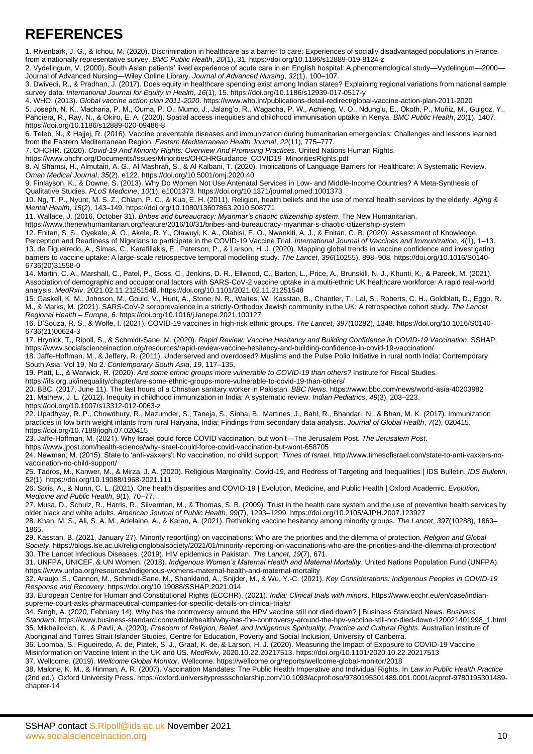## **REFERENCES**

1. Rivenbark, J. G., & Ichou, M. (2020). Discrimination in healthcare as a barrier to care: Experiences of socially disadvantaged populations in France from a nationally representative survey. *BMC Public Health*, *20*(1), 31. https://doi.org/10.1186/s12889-019-8124-z

2. Vydelingum, V. (2000). South Asian patients' lived experience of acute care in an English hospital: A phenomenological study—Vydelingum—2000— Journal of Advanced Nursing—Wiley Online Library. *Journal of Advanced Nursing*, *32*(1), 100–107.

3. Dwivedi, R., & Pradhan, J. (2017). Does equity in healthcare spending exist among Indian states? Explaining regional variations from national sample survey data. *International Journal for Equity in Health*, *16*(1), 15. https://doi.org/10.1186/s12939-017-0517-y

4. WHO. (2013). *Global vaccine action plan 2011-2020*. https://www.who.int/publications-detail-redirect/global-vaccine-action-plan-2011-2020

5. Joseph, N. K., Macharia, P. M., Ouma, P. O., Mumo, J., Jalang'o, R., Wagacha, P. W., Achieng, V. O., Ndung'u, E., Okoth, P., Muñiz, M., Guigoz, Y., Panciera, R., Ray, N., & Okiro, E. A. (2020). Spatial access inequities and childhood immunisation uptake in Kenya. *BMC Public Health*, *20*(1), 1407. https://doi.org/10.1186/s12889-020-09486-8

6. Teleb, N., & Hajjej, R. (2016). Vaccine preventable diseases and immunization during humanitarian emergencies: Challenges and lessons learned from the Eastern Mediterranean Region. *Eastern Mediterranean Health Journal*, *22*(11), 775–777.

7. OHCHR. (2020). *Covid-19 And Minority Rights: Overview And Promising Practices*. United Nations Human Rights.

https://www.ohchr.org/Documents/Issues/Minorities/OHCHRGuidance\_COVID19\_MinoritiesRights.pdf

8. Al Shamsi, H., Almutairi, A. G., Al Mashrafi, S., & Al Kalbani, T. (2020). Implications of Language Barriers for Healthcare: A Systematic Review. *Oman Medical Journal*, *35*(2), e122. https://doi.org/10.5001/omj.2020.40

9. Finlayson, K., & Downe, S. (2013). Why Do Women Not Use Antenatal Services in Low- and Middle-Income Countries? A Meta-Synthesis of

Qualitative Studies. *PLoS Medicine*, *10*(1), e1001373. https://doi.org/10.1371/journal.pmed.1001373 10. Ng, T. P., Nyunt, M. S. Z., Chiam, P. C., & Kua, E. H. (2011). Religion, health beliefs and the use of mental health services by the elderly. *Aging & Mental Health*, *15*(2), 143–149. https://doi.org/10.1080/13607863.2010.508771

11. Wallace, J. (2016, October 31). *Bribes and bureaucracy: Myanmar's chaotic citizenship system*. The New Humanitarian.

https://www.thenewhumanitarian.org/feature/2016/10/31/bribes-and-bureaucracy-myanmar-s-chaotic-citizenship-system

12. Enitan, S. S., Oyekale, A. O., Akele, R. Y., Olawuyi, K. A., Olabisi, E. O., Nwankiti, A. J., & Enitan, C. B. (2020). Assessment of Knowledge, Perception and Readiness of Nigerians to participate in the COVID-19 Vaccine Trial. *International Journal of Vaccines and Immunization*, *4*(1), 1–13. 13. de Figueiredo, A., Simas, C., Karafillakis, E., Paterson, P., & Larson, H. J. (2020). Mapping global trends in vaccine confidence and investigating barriers to vaccine uptake: A large-scale retrospective temporal modelling study. *The Lancet*, *396*(10255), 898–908. https://doi.org/10.1016/S0140- 6736(20)31558-0

14. Martin, C. A., Marshall, C., Patel, P., Goss, C., Jenkins, D. R., Ellwood, C., Barton, L., Price, A., Brunskill, N. J., Khunti, K., & Pareek, M. (2021). Association of demographic and occupational factors with SARS-CoV-2 vaccine uptake in a multi-ethnic UK healthcare workforce: A rapid real-world analysis. *MedRxiv*, 2021.02.11.21251548. https://doi.org/10.1101/2021.02.11.21251548

15. Gaskell, K. M., Johnson, M., Gould, V., Hunt, A., Stone, N. R., Waites, W., Kasstan, B., Chantler, T., Lal, S., Roberts, C. H., Goldblatt, D., Eggo, R. M., & Marks, M. (2021). SARS-CoV-2 seroprevalence in a strictly-Orthodox Jewish community in the UK: A retrospective cohort study. *The Lancet Regional Health – Europe*, *6*. https://doi.org/10.1016/j.lanepe.2021.100127

16. D'Souza, R. S., & Wolfe, I. (2021). COVID-19 vaccines in high-risk ethnic groups. *The Lancet*, *397*(10282), 1348. https://doi.org/10.1016/S0140- 6736(21)00624-3

17. Hrynick, T., Ripoll, S., & Schmidt-Sane, M. (2020). *Rapid Review: Vaccine Hesitancy and Building Confidence in COVID-19 Vaccination*. SSHAP. https://www.socialscienceinaction.org/resources/rapid-review-vaccine-hesitancy-and-building-confidence-in-covid-19-vaccination/

18. Jaffe-Hoffman, M., & Jeffery, R. (2011). Underserved and overdosed? Muslims and the Pulse Polio Initiative in rural north India: Contemporary South Asia: Vol 19, No 2. *Contemporary South Asia*, *19*, 117–135.

19. Platt, L., & Warwick, R. (2020). *Are some ethnic groups more vulnerable to COVID-19 than others?* Institute for Fiscal Studies.

https://ifs.org.uk/inequality/chapter/are-some-ethnic-groups-more-vulnerable-to-covid-19-than-others/

20. BBC. (2017, June 11). The last hours of a Christian sanitary worker in Pakistan. *BBC News*. https://www.bbc.com/news/world-asia-40203982 21. Mathew, J. L. (2012). Inequity in childhood immunization in India: A systematic review. *Indian Pediatrics*, *49*(3), 203–223. https://doi.org/10.1007/s13312-012-0063-z

22. Upadhyay, R. P., Chowdhury, R., Mazumder, S., Taneja, S., Sinha, B., Martines, J., Bahl, R., Bhandari, N., & Bhan, M. K. (2017). Immunization practices in low birth weight infants from rural Haryana, India: Findings from secondary data analysis. *Journal of Global Health*, *7*(2), 020415. https://doi.org/10.7189/jogh.07.020415

23. Jaffe-Hoffman, M. (2021). Why Israel could force COVID vaccination, but won't—The Jerusalem Post. *The Jerusalem Post*.

https://www.jpost.com/health-science/why-israel-could-force-covid-vaccination-but-wont-658705

24. Newman, M. (2015). State to 'anti-vaxxers': No vaccination, no child support. *Times of Israel*. http://www.timesofisrael.com/state-to-anti-vaxxers-novaccination-no-child-support/

25. Tadros, M., Kanwer, M., & Mirza, J. A. (2020). Religious Marginality, Covid-19, and Redress of Targeting and Inequalities | IDS Bulletin. *IDS Bulletin*, *52*(1). https://doi.org/10.19088/1968-2021.111

26. Solis, A., & Nunn, C. L. (2021). One health disparities and COVID-19 | Evolution, Medicine, and Public Health | Oxford Academic. *Evolution, Medicine and Public Health*, *9*(1), 70–77.

27. Musa, D., Schulz, R., Harris, R., Silverman, M., & Thomas, S. B. (2009). Trust in the health care system and the use of preventive health services by older black and white adults. *American Journal of Public Health*, *99*(7), 1293–1299. https://doi.org/10.2105/AJPH.2007.123927

28. Khan, M. S., Ali, S. A. M., Adelaine, A., & Karan, A. (2021). Rethinking vaccine hesitancy among minority groups. *The Lancet*, *397*(10288), 1863– 1865.

29. Kasstan, B. (2021, January 27). Minority report(ing) on vaccinations: Who are the priorities and the dilemma of protection. *Religion and Global Society*. https://blogs.lse.ac.uk/religionglobalsociety/2021/01/minority-reporting-on-vaccinations-who-are-the-priorities-and-the-dilemma-of-protection/ 30. The Lancet Infectious Diseases. (2019). HIV epidemics in Pakistan. *The Lancet*, *19*(7), 671.

31. UNFPA, UNICEF, & UN Women. (2018). *Indigenous Women's Maternal Health and Maternal Mortality*. United Nations Population Fund (UNFPA). https://www.unfpa.org/resources/indigenous-womens-maternal-health-and-maternal-mortality

32. Araujo, S., Cannon, M., Schmidt-Sane, M., Shankland, A., Snijder, M., & Wu, Y.-C. (2021). *Key Considerations: Indigenous Peoples in COVID-19 Response and Recovery*. https://doi.org/10.19088/SSHAP.2021.014

33. European Centre for Human and Constitutional Rights (ECCHR). (2021). *India: Clinical trials with minors*. https://www.ecchr.eu/en/case/indiansupreme-court-asks-pharmaceutical-companies-for-specific-details-on-clinical-trials/

34. Singh, A. (2020, February 14). Why has the controversy around the HPV vaccine still not died down? | Business Standard News. *Business Standard*. https://www.business-standard.com/article/health/why-has-the-controversy-around-the-hpv-vaccine-still-not-died-down-120021401998\_1.html 35. Mikhailovich, K., & Pavli, A. (2020). *Freedom of Religion, Belief, and Indigenous Spirituality, Practice and Cultural Rights*. Australian Institute of Aboriginal and Torres Strait Islander Studies, Centre for Education, Poverty and Social Inclusion, University of Canberra.

36. Loomba, S., Figueiredo, A. de, Piatek, S. J., Graaf, K. de, & Larson, H. J. (2020). Measuring the Impact of Exposure to COVID-19 Vaccine Misinformation on Vaccine Intent in the UK and US. *MedRxiv*, 2020.10.22.20217513. https://doi.org/10.1101/2020.10.22.20217513

37. Wellcome. (2019). *Wellcome Global Monitor*. Wellcome. https://wellcome.org/reports/wellcome-global-monitor/2018

38. Malone, K. M., & Hinman, A. R. (2007). Vaccination Mandates: The Public Health Imperative and Individual Rights. In *Law in Public Health Practice* (2nd ed.). Oxford University Press. https://oxford.universitypressscholarship.com/10.1093/acprof:oso/9780195301489.001.0001/acprof-9780195301489 chapter-14